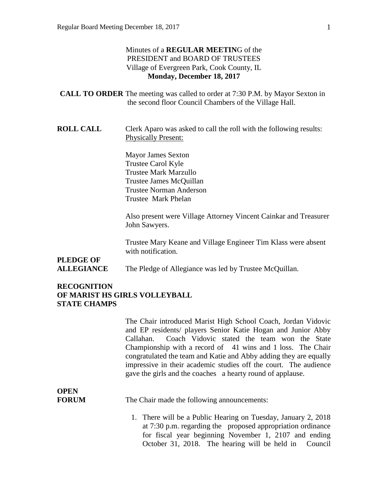### Minutes of a **REGULAR MEETIN**G of the PRESIDENT and BOARD OF TRUSTEES Village of Evergreen Park, Cook County, IL **Monday, December 18, 2017**

- **CALL TO ORDER** The meeting was called to order at 7:30 P.M. by Mayor Sexton in the second floor Council Chambers of the Village Hall.
- **ROLL CALL** Clerk Aparo was asked to call the roll with the following results: Physically Present:

Mayor James Sexton Trustee Carol Kyle Trustee Mark Marzullo Trustee James McQuillan Trustee Norman Anderson Trustee Mark Phelan

Also present were Village Attorney Vincent Cainkar and Treasurer John Sawyers.

Trustee Mary Keane and Village Engineer Tim Klass were absent with notification.

## **PLEDGE OF**

**ALLEGIANCE** The Pledge of Allegiance was led by Trustee McQuillan.

### **RECOGNITION OF MARIST HS GIRLS VOLLEYBALL STATE CHAMPS**

The Chair introduced Marist High School Coach, Jordan Vidovic and EP residents/ players Senior Katie Hogan and Junior Abby Callahan. Coach Vidovic stated the team won the State Championship with a record of 41 wins and 1 loss. The Chair congratulated the team and Katie and Abby adding they are equally impressive in their academic studies off the court. The audience gave the girls and the coaches a hearty round of applause.

# **OPEN**

**FORUM** The Chair made the following announcements:

1. There will be a Public Hearing on Tuesday, January 2, 2018 at 7:30 p.m. regarding the proposed appropriation ordinance for fiscal year beginning November 1, 2107 and ending October 31, 2018. The hearing will be held in Council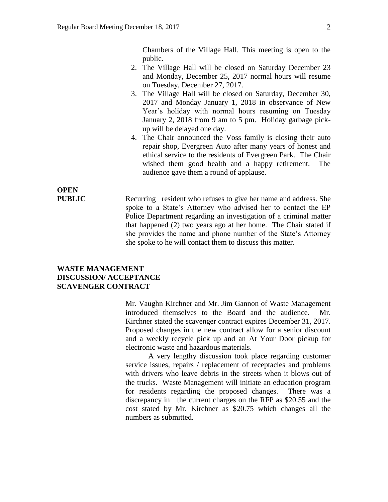Chambers of the Village Hall. This meeting is open to the public.

- 2. The Village Hall will be closed on Saturday December 23 and Monday, December 25, 2017 normal hours will resume on Tuesday, December 27, 2017.
- 3. The Village Hall will be closed on Saturday, December 30, 2017 and Monday January 1, 2018 in observance of New Year's holiday with normal hours resuming on Tuesday January 2, 2018 from 9 am to 5 pm. Holiday garbage pickup will be delayed one day.
- 4. The Chair announced the Voss family is closing their auto repair shop, Evergreen Auto after many years of honest and ethical service to the residents of Evergreen Park. The Chair wished them good health and a happy retirement. The audience gave them a round of applause.

# **OPEN**

**PUBLIC** Recurring resident who refuses to give her name and address. She spoke to a State's Attorney who advised her to contact the EP Police Department regarding an investigation of a criminal matter that happened (2) two years ago at her home. The Chair stated if she provides the name and phone number of the State's Attorney she spoke to he will contact them to discuss this matter.

#### **WASTE MANAGEMENT DISCUSSION/ ACCEPTANCE SCAVENGER CONTRACT**

Mr. Vaughn Kirchner and Mr. Jim Gannon of Waste Management introduced themselves to the Board and the audience. Mr. Kirchner stated the scavenger contract expires December 31, 2017. Proposed changes in the new contract allow for a senior discount and a weekly recycle pick up and an At Your Door pickup for electronic waste and hazardous materials.

A very lengthy discussion took place regarding customer service issues, repairs / replacement of receptacles and problems with drivers who leave debris in the streets when it blows out of the trucks. Waste Management will initiate an education program for residents regarding the proposed changes. There was a discrepancy in the current charges on the RFP as \$20.55 and the cost stated by Mr. Kirchner as \$20.75 which changes all the numbers as submitted.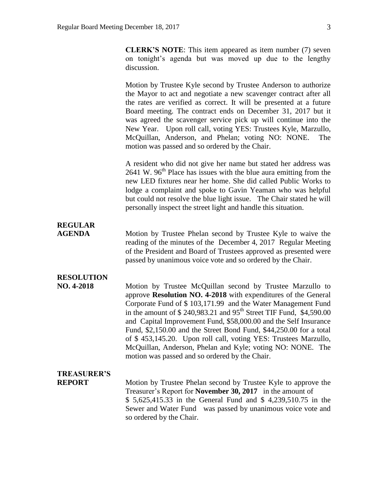**CLERK'S NOTE**: This item appeared as item number (7) seven on tonight's agenda but was moved up due to the lengthy discussion.

Motion by Trustee Kyle second by Trustee Anderson to authorize the Mayor to act and negotiate a new scavenger contract after all the rates are verified as correct. It will be presented at a future Board meeting. The contract ends on December 31, 2017 but it was agreed the scavenger service pick up will continue into the New Year. Upon roll call, voting YES: Trustees Kyle, Marzullo, McQuillan, Anderson, and Phelan; voting NO: NONE. The motion was passed and so ordered by the Chair.

A resident who did not give her name but stated her address was 2641 W.  $96<sup>th</sup>$  Place has issues with the blue aura emitting from the new LED fixtures near her home. She did called Public Works to lodge a complaint and spoke to Gavin Yeaman who was helpful but could not resolve the blue light issue. The Chair stated he will personally inspect the street light and handle this situation.

## **REGULAR**

**AGENDA** Motion by Trustee Phelan second by Trustee Kyle to waive the reading of the minutes of the December 4, 2017 Regular Meeting of the President and Board of Trustees approved as presented were passed by unanimous voice vote and so ordered by the Chair.

## **RESOLUTION**

**NO. 4-2018** Motion by Trustee McQuillan second by Trustee Marzullo to approve **Resolution NO. 4-2018** with expenditures of the General Corporate Fund of \$ 103,171.99 and the Water Management Fund in the amount of  $$ 240,983.21$  and  $95<sup>th</sup>$  Street TIF Fund,  $$4,590.00$ and Capital Improvement Fund, \$58,000.00 and the Self Insurance Fund, \$2,150.00 and the Street Bond Fund, \$44,250.00 for a total of \$ 453,145.20. Upon roll call, voting YES: Trustees Marzullo, McQuillan, Anderson, Phelan and Kyle; voting NO: NONE. The motion was passed and so ordered by the Chair.

### **TREASURER'S**

**REPORT** Motion by Trustee Phelan second by Trustee Kyle to approve the Treasurer's Report for **November 30, 2017** in the amount of \$ 5,625,415.33 in the General Fund and \$ 4,239,510.75 in the Sewer and Water Fund was passed by unanimous voice vote and so ordered by the Chair.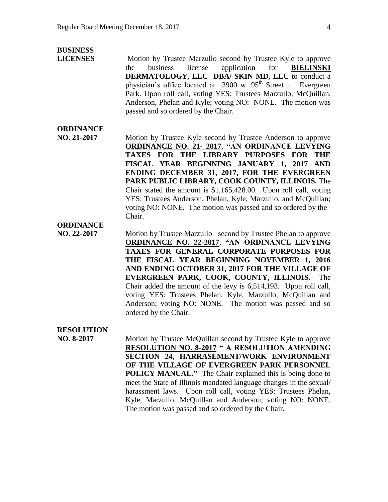### **BUSINESS**

**LICENSES** Motion by Trustee Marzullo second by Trustee Kyle to approve the business license application for **BIELINSKI DERMATOLOGY, LLC DBA/ SKIN MD, LLC** to conduct a physician's office located at 3900 w. 95<sup>th</sup> Street in Evergreen Park. Upon roll call, voting YES: Trustees Marzullo, McQuillan, Anderson, Phelan and Kyle; voting NO: NONE. The motion was passed and so ordered by the Chair.

### **ORDINANCE**

**NO. 21-2017** Motion by Trustee Kyle second by Trustee Anderson to approve **ORDINANCE NO. 21- 2017**, **"AN ORDINANCE LEVYING TAXES FOR THE LIBRARY PURPOSES FOR THE FISCAL YEAR BEGINNING JANUARY 1, 2017 AND ENDING DECEMBER 31, 2017, FOR THE EVERGREEN PARK PUBLIC LIBRARY, COOK COUNTY, ILLINOIS.** The Chair stated the amount is \$1,165,428.00. Upon roll call, voting YES: Trustees Anderson, Phelan, Kyle, Marzullo, and McQuillan; voting NO: NONE. The motion was passed and so ordered by the Chair.

### **ORDINANCE**

**NO. 22-2017** Motion by Trustee Marzullo second by Trustee Phelan to approve **ORDINANCE NO. 22-2017**, **"AN ORDINANCE LEVYING TAXES FOR GENERAL CORPORATE PURPOSES FOR THE FISCAL YEAR BEGINNING NOVEMBER 1, 2016 AND ENDING OCTOBER 31, 2017 FOR THE VILLAGE OF EVERGREEN PARK, COOK, COUNTY, ILLINOIS.** The Chair added the amount of the levy is 6,514,193. Upon roll call, voting YES: Trustees Phelan, Kyle, Marzullo, McQuillan and Anderson; voting NO: NONE. The motion was passed and so ordered by the Chair.

#### **RESOLUTION**

**NO. 8-2017** Motion by Trustee McQuillan second by Trustee Kyle to approve **RESOLUTION NO. 8-2017 " A RESOLUTION AMENDING SECTION 24, HARRASEMENT/WORK ENVIRONMENT OF THE VILLAGE OF EVERGREEN PARK PERSONNEL POLICY MANUAL."** The Chair explained this is being done to meet the State of Illinois mandated language changes in the sexual/ harassment laws. Upon roll call, voting YES: Trustees Phelan, Kyle, Marzullo, McQuillan and Anderson; voting NO: NONE. The motion was passed and so ordered by the Chair.